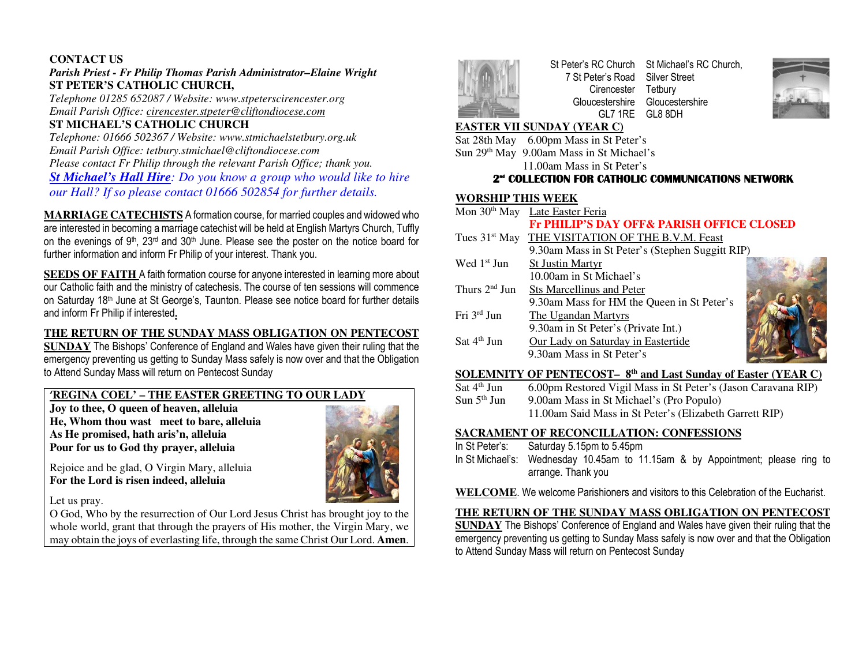#### **CONTACT US**

# *Parish Priest - Fr Philip Thomas Parish Administrator–Elaine Wright*  **ST PETER'S CATHOLIC CHURCH,**

 *Telephone 01285 652087 / Website: www.stpeterscirencester.org Email Parish Office: cirencester.stpeter@cliftondiocese.com*

# **ST MICHAEL'S CATHOLIC CHURCH**

 *Telephone: 01666 502367 / Website: www.stmichaelstetbury.org.uk Email Parish Office: tetbury.stmichael@cliftondiocese.com Please contact Fr Philip through the relevant Parish Office; thank you. St Michael's Hall Hire: Do you know a group who would like to hire our Hall? If so please contact 01666 502854 for further details.* 

**MARRIAGE CATECHISTS** A formation course, for married couples and widowed who are interested in becoming a marriage catechist will be held at English Martyrs Church, Tuffly on the evenings of 9<sup>th</sup>, 23<sup>rd</sup> and 30<sup>th</sup> June. Please see the poster on the notice board for further information and inform Fr Philip of your interest. Thank you.

**SEEDS OF FAITH** A faith formation course for anyone interested in learning more about our Catholic faith and the ministry of catechesis. The course of ten sessions will commence on Saturday 18<sup>th</sup> June at St George's, Taunton. Please see notice board for further details and inform Fr Philip if interested**.** 

#### **THE RETURN OF THE SUNDAY MASS OBLIGATION ON PENTECOST**

 **SUNDAY** The Bishops' Conference of England and Wales have given their ruling that the emergency preventing us getting to Sunday Mass safely is now over and that the Obligation to Attend Sunday Mass will return on Pentecost Sunday

### **'REGINA COEL' – THE EASTER GREETING TO OUR LADY**

**Joy to thee, O queen of heaven, alleluia He, Whom thou wast meet to bare, alleluia As He promised, hath aris'n, alleluia Pour for us to God thy prayer, alleluia** 



Rejoice and be glad, O Virgin Mary, alleluia **For the Lord is risen indeed, alleluia** 

Let us pray.

 O God, Who by the resurrection of Our Lord Jesus Christ has brought joy to the whole world, grant that through the prayers of His mother, the Virgin Mary, we may obtain the joys of everlasting life, through the same Christ Our Lord. **Amen**.



St Peter's RC Church St Michael's RC Church, 7 St Peter's Road Silver Street Cirencester Gloucestershire Gloucestershire GL7 1RE GL8 8DH Tetbury



# **EASTER VII SUNDAY (YEAR C)**

Sat 28th May 6.00pm Mass in St Peter's Sun 29<sup>th</sup> May 9.00am Mass in St Michael's

11.00am Mass in St Peter's

# **2nd COLLECTION FOR CATHOLIC COMMUNICATIONS NETWORK**

# **WORSHIP THIS WEEK**

|                         | Mon 30 <sup>th</sup> May Late Easter Feria                   |  |  |
|-------------------------|--------------------------------------------------------------|--|--|
|                         | <b>Fr PHILIP'S DAY OFF&amp; PARISH OFFICE CLOSED</b>         |  |  |
|                         | Tues 31 <sup>st</sup> May THE VISITATION OF THE B.V.M. Feast |  |  |
|                         | 9.30am Mass in St Peter's (Stephen Suggitt RIP)              |  |  |
| Wed 1 <sup>st</sup> Jun | <b>St Justin Martyr</b>                                      |  |  |
|                         | 10.00am in St Michael's                                      |  |  |
| Thurs $2nd$ Jun         | <b>Sts Marcellinus and Peter</b>                             |  |  |
|                         | 9.30am Mass for HM the Queen in St Peter's                   |  |  |
| Fri $3^{rd}$ Jun        | The Ugandan Martyrs                                          |  |  |
|                         | 9.30am in St Peter's (Private Int.)                          |  |  |
| Sat $4th$ Jun           | Our Lady on Saturday in Eastertide                           |  |  |
|                         | 9.30am Mass in St Peter's                                    |  |  |
|                         |                                                              |  |  |



Sat  $4<sup>th</sup>$  Jun 6.00pm Restored Vigil Mass in St Peter's (Jason Caravana RIP) Sun  $5<sup>th</sup>$  Jun 9.00am Mass in St Michael's (Pro Populo) 11.00am Said Mass in St Peter's (Elizabeth Garrett RIP)

#### **SACRAMENT OF RECONCILLATION: CONFESSIONS**

- In St Peter's: Saturday 5.15pm to 5.45pm
- In St Michael's: Wednesday 10.45am to 11.15am & by Appointment; please ring to arrange. Thank you
- **WELCOME**. We welcome Parishioners and visitors to this Celebration of the Eucharist.

### **THE RETURN OF THE SUNDAY MASS OBLIGATION ON PENTECOST**

 **SUNDAY** The Bishops' Conference of England and Wales have given their ruling that the emergency preventing us getting to Sunday Mass safely is now over and that the Obligation to Attend Sunday Mass will return on Pentecost Sunday